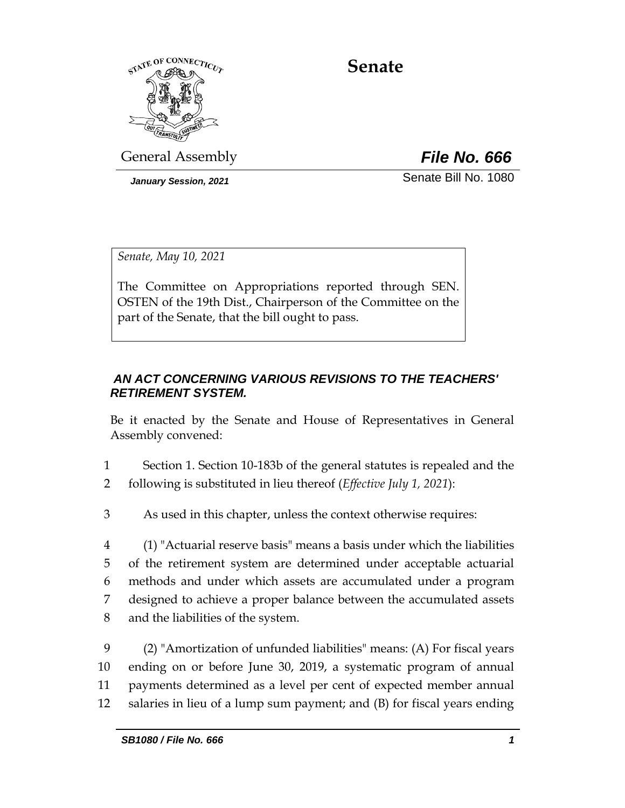

# **Senate**

General Assembly *File No. 666*

*January Session, 2021* Senate Bill No. 1080

*Senate, May 10, 2021*

The Committee on Appropriations reported through SEN. OSTEN of the 19th Dist., Chairperson of the Committee on the part of the Senate, that the bill ought to pass.

#### *AN ACT CONCERNING VARIOUS REVISIONS TO THE TEACHERS' RETIREMENT SYSTEM.*

Be it enacted by the Senate and House of Representatives in General Assembly convened:

1 Section 1. Section 10-183b of the general statutes is repealed and the 2 following is substituted in lieu thereof (*Effective July 1, 2021*):

3 As used in this chapter, unless the context otherwise requires:

 (1) "Actuarial reserve basis" means a basis under which the liabilities of the retirement system are determined under acceptable actuarial methods and under which assets are accumulated under a program designed to achieve a proper balance between the accumulated assets and the liabilities of the system.

 (2) "Amortization of unfunded liabilities" means: (A) For fiscal years ending on or before June 30, 2019, a systematic program of annual payments determined as a level per cent of expected member annual salaries in lieu of a lump sum payment; and (B) for fiscal years ending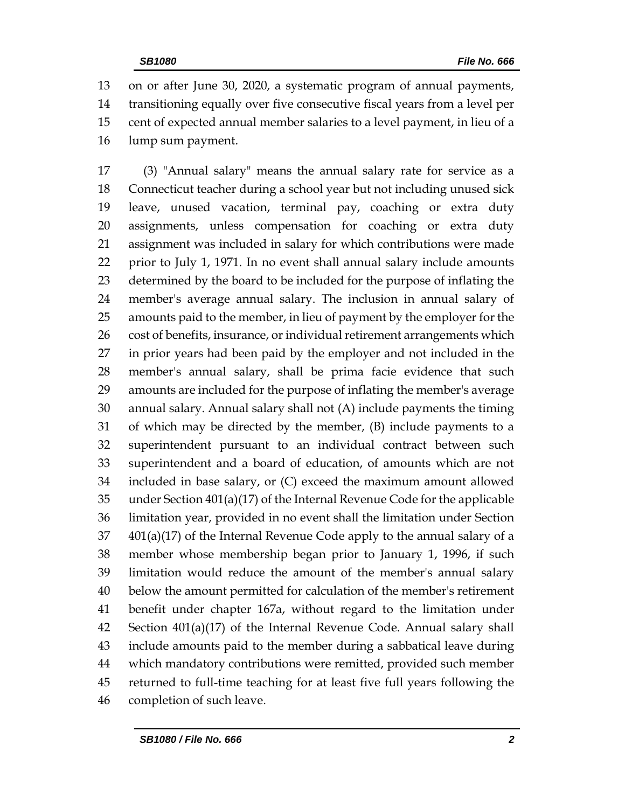on or after June 30, 2020, a systematic program of annual payments, transitioning equally over five consecutive fiscal years from a level per cent of expected annual member salaries to a level payment, in lieu of a lump sum payment.

 (3) "Annual salary" means the annual salary rate for service as a Connecticut teacher during a school year but not including unused sick leave, unused vacation, terminal pay, coaching or extra duty assignments, unless compensation for coaching or extra duty assignment was included in salary for which contributions were made prior to July 1, 1971. In no event shall annual salary include amounts determined by the board to be included for the purpose of inflating the member's average annual salary. The inclusion in annual salary of amounts paid to the member, in lieu of payment by the employer for the 26 cost of benefits, insurance, or individual retirement arrangements which in prior years had been paid by the employer and not included in the member's annual salary, shall be prima facie evidence that such amounts are included for the purpose of inflating the member's average annual salary. Annual salary shall not (A) include payments the timing of which may be directed by the member, (B) include payments to a superintendent pursuant to an individual contract between such superintendent and a board of education, of amounts which are not included in base salary, or (C) exceed the maximum amount allowed under Section 401(a)(17) of the Internal Revenue Code for the applicable limitation year, provided in no event shall the limitation under Section  $401(a)(17)$  of the Internal Revenue Code apply to the annual salary of a member whose membership began prior to January 1, 1996, if such limitation would reduce the amount of the member's annual salary below the amount permitted for calculation of the member's retirement benefit under chapter 167a, without regard to the limitation under Section 401(a)(17) of the Internal Revenue Code. Annual salary shall include amounts paid to the member during a sabbatical leave during which mandatory contributions were remitted, provided such member returned to full-time teaching for at least five full years following the completion of such leave.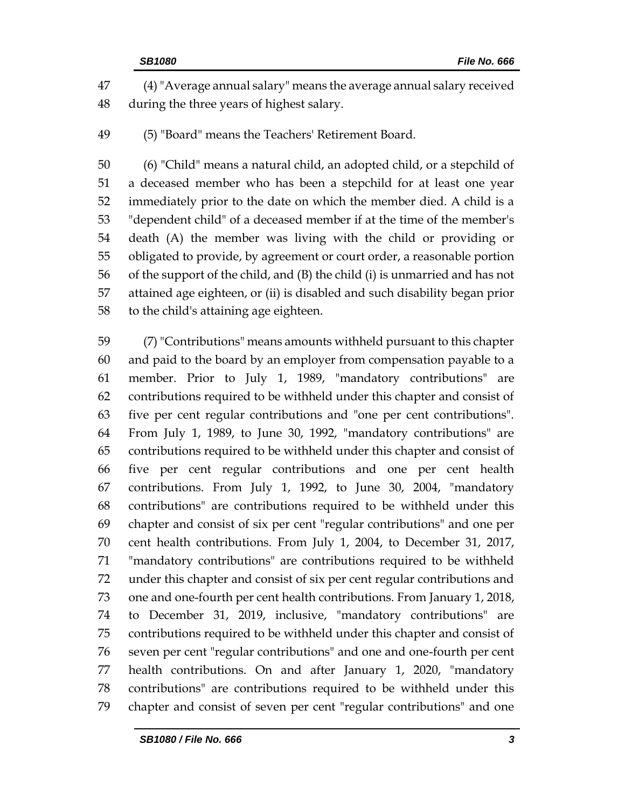(4)"Average annual salary" means the average annual salary received during the three years of highest salary.

(5) "Board" means the Teachers' Retirement Board.

 (6) "Child" means a natural child, an adopted child, or a stepchild of a deceased member who has been a stepchild for at least one year immediately prior to the date on which the member died. A child is a "dependent child" of a deceased member if at the time of the member's death (A) the member was living with the child or providing or obligated to provide, by agreement or court order, a reasonable portion of the support of the child, and (B) the child (i) is unmarried and has not attained age eighteen, or (ii) is disabled and such disability began prior to the child's attaining age eighteen.

 (7) "Contributions" means amounts withheld pursuant to this chapter and paid to the board by an employer from compensation payable to a member. Prior to July 1, 1989, "mandatory contributions" are contributions required to be withheld under this chapter and consist of five per cent regular contributions and "one per cent contributions". From July 1, 1989, to June 30, 1992, "mandatory contributions" are contributions required to be withheld under this chapter and consist of five per cent regular contributions and one per cent health contributions. From July 1, 1992, to June 30, 2004, "mandatory contributions" are contributions required to be withheld under this chapter and consist of six per cent "regular contributions" and one per cent health contributions. From July 1, 2004, to December 31, 2017, "mandatory contributions" are contributions required to be withheld under this chapter and consist of six per cent regular contributions and one and one-fourth per cent health contributions. From January 1, 2018, to December 31, 2019, inclusive, "mandatory contributions" are contributions required to be withheld under this chapter and consist of seven per cent "regular contributions" and one and one-fourth per cent health contributions. On and after January 1, 2020, "mandatory contributions" are contributions required to be withheld under this chapter and consist of seven per cent "regular contributions" and one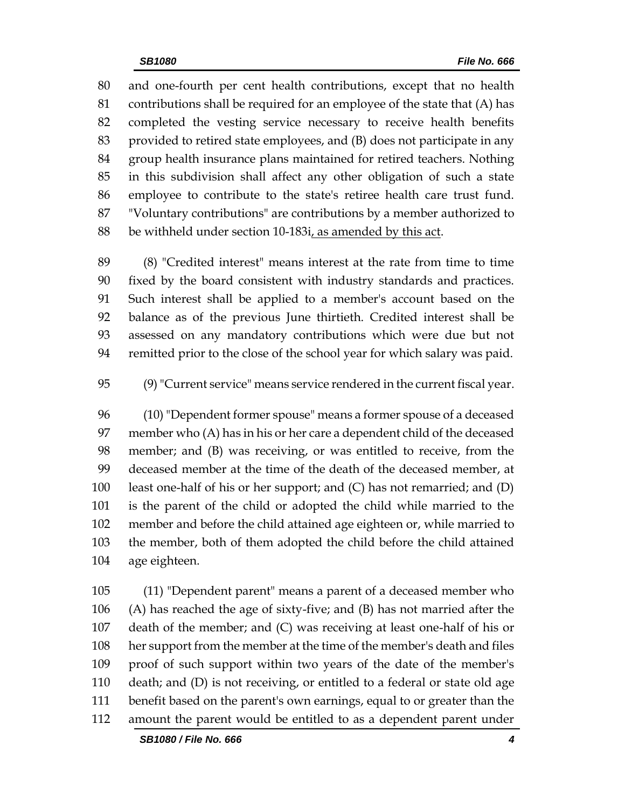and one-fourth per cent health contributions, except that no health contributions shall be required for an employee of the state that (A) has completed the vesting service necessary to receive health benefits provided to retired state employees, and (B) does not participate in any group health insurance plans maintained for retired teachers. Nothing in this subdivision shall affect any other obligation of such a state employee to contribute to the state's retiree health care trust fund. "Voluntary contributions" are contributions by a member authorized to be withheld under section 10-183i, as amended by this act.

 (8) "Credited interest" means interest at the rate from time to time fixed by the board consistent with industry standards and practices. Such interest shall be applied to a member's account based on the balance as of the previous June thirtieth. Credited interest shall be assessed on any mandatory contributions which were due but not remitted prior to the close of the school year for which salary was paid.

(9)"Current service" means service rendered in the current fiscal year.

 (10) "Dependent former spouse" means a former spouse of a deceased member who (A) has in his or her care a dependent child of the deceased member; and (B) was receiving, or was entitled to receive, from the deceased member at the time of the death of the deceased member, at least one-half of his or her support; and (C) has not remarried; and (D) is the parent of the child or adopted the child while married to the member and before the child attained age eighteen or, while married to the member, both of them adopted the child before the child attained age eighteen.

 (11) "Dependent parent" means a parent of a deceased member who (A) has reached the age of sixty-five; and (B) has not married after the death of the member; and (C) was receiving at least one-half of his or her support from the member at the time of the member's death and files proof of such support within two years of the date of the member's death; and (D) is not receiving, or entitled to a federal or state old age benefit based on the parent's own earnings, equal to or greater than the amount the parent would be entitled to as a dependent parent under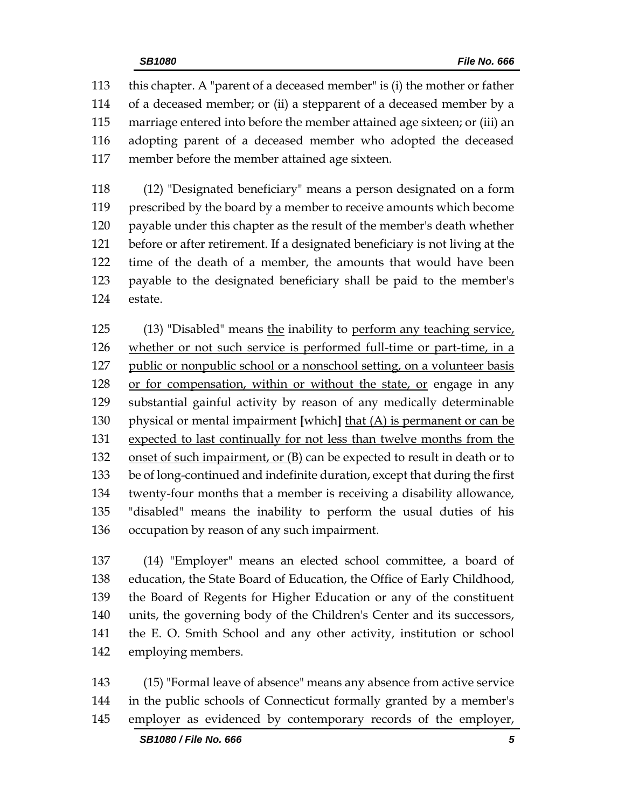this chapter. A "parent of a deceased member" is (i) the mother or father of a deceased member; or (ii) a stepparent of a deceased member by a marriage entered into before the member attained age sixteen; or (iii) an adopting parent of a deceased member who adopted the deceased member before the member attained age sixteen.

 (12) "Designated beneficiary" means a person designated on a form prescribed by the board by a member to receive amounts which become payable under this chapter as the result of the member's death whether before or after retirement. If a designated beneficiary is not living at the time of the death of a member, the amounts that would have been payable to the designated beneficiary shall be paid to the member's estate.

125 (13) "Disabled" means the inability to perform any teaching service, whether or not such service is performed full-time or part-time, in a public or nonpublic school or a nonschool setting, on a volunteer basis or for compensation, within or without the state, or engage in any substantial gainful activity by reason of any medically determinable physical or mental impairment **[**which**]** that (A) is permanent or can be expected to last continually for not less than twelve months from the 132 onset of such impairment, or (B) can be expected to result in death or to be of long-continued and indefinite duration, except that during the first twenty-four months that a member is receiving a disability allowance, "disabled" means the inability to perform the usual duties of his occupation by reason of any such impairment.

 (14) "Employer" means an elected school committee, a board of education, the State Board of Education, the Office of Early Childhood, the Board of Regents for Higher Education or any of the constituent units, the governing body of the Children's Center and its successors, the E. O. Smith School and any other activity, institution or school employing members.

 (15) "Formal leave of absence" means any absence from active service in the public schools of Connecticut formally granted by a member's employer as evidenced by contemporary records of the employer,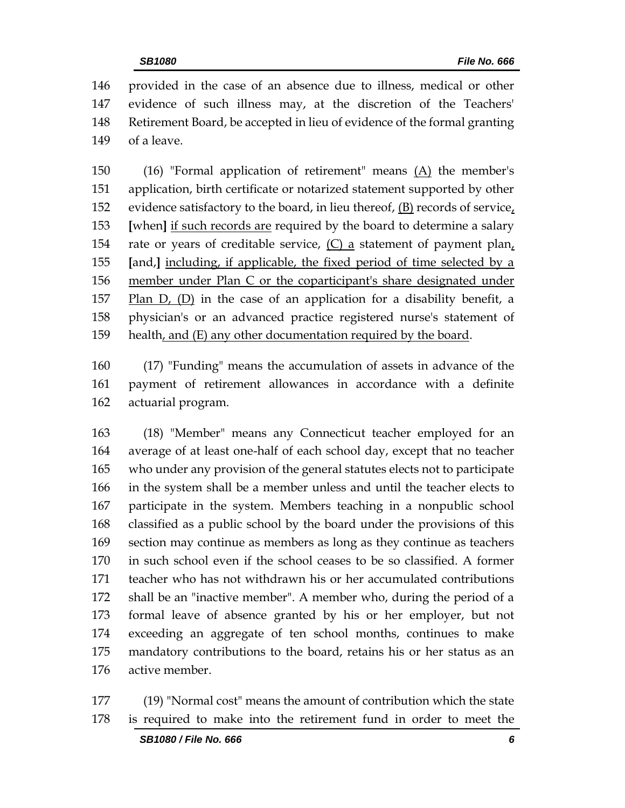provided in the case of an absence due to illness, medical or other evidence of such illness may, at the discretion of the Teachers' Retirement Board, be accepted in lieu of evidence of the formal granting of a leave.

 (16) "Formal application of retirement" means (A) the member's application, birth certificate or notarized statement supported by other evidence satisfactory to the board, in lieu thereof, (B) records of service, **[**when**]** if such records are required by the board to determine a salary rate or years of creditable service, (C) a statement of payment plan, **[**and,**]** including, if applicable, the fixed period of time selected by a member under Plan C or the coparticipant's share designated under Plan D, (D) in the case of an application for a disability benefit, a physician's or an advanced practice registered nurse's statement of health, and (E) any other documentation required by the board.

 (17) "Funding" means the accumulation of assets in advance of the payment of retirement allowances in accordance with a definite actuarial program.

 (18) "Member" means any Connecticut teacher employed for an average of at least one-half of each school day, except that no teacher who under any provision of the general statutes elects not to participate in the system shall be a member unless and until the teacher elects to participate in the system. Members teaching in a nonpublic school classified as a public school by the board under the provisions of this section may continue as members as long as they continue as teachers in such school even if the school ceases to be so classified. A former teacher who has not withdrawn his or her accumulated contributions shall be an "inactive member". A member who, during the period of a formal leave of absence granted by his or her employer, but not exceeding an aggregate of ten school months, continues to make mandatory contributions to the board, retains his or her status as an active member.

 (19) "Normal cost" means the amount of contribution which the state is required to make into the retirement fund in order to meet the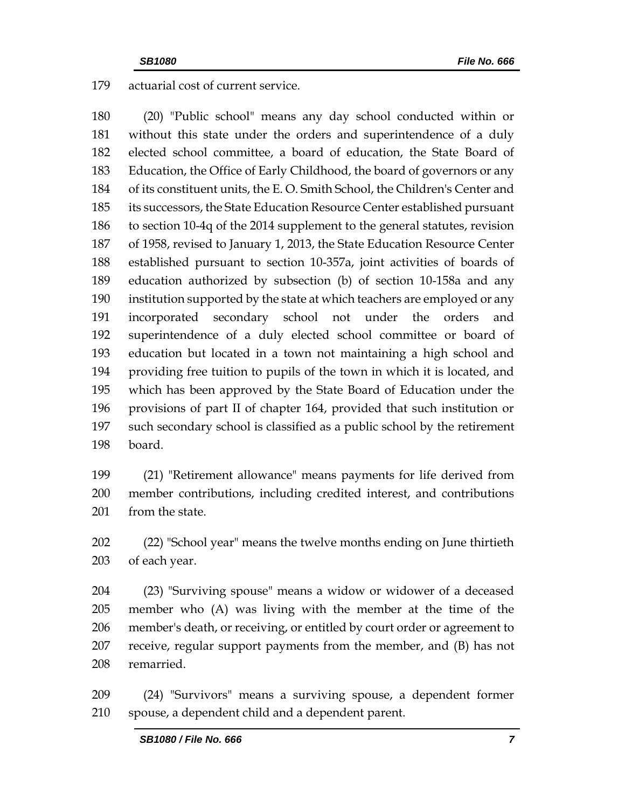actuarial cost of current service.

 (20) "Public school" means any day school conducted within or without this state under the orders and superintendence of a duly elected school committee, a board of education, the State Board of Education, the Office of Early Childhood, the board of governors or any of its constituent units, the E. O. Smith School, the Children's Center and its successors, the State Education Resource Center established pursuant to section 10-4q of the 2014 supplement to the general statutes, revision of 1958, revised to January 1, 2013, the State Education Resource Center established pursuant to section 10-357a, joint activities of boards of education authorized by subsection (b) of section 10-158a and any institution supported by the state at which teachers are employed or any incorporated secondary school not under the orders and superintendence of a duly elected school committee or board of education but located in a town not maintaining a high school and providing free tuition to pupils of the town in which it is located, and which has been approved by the State Board of Education under the provisions of part II of chapter 164, provided that such institution or such secondary school is classified as a public school by the retirement board.

 (21) "Retirement allowance" means payments for life derived from member contributions, including credited interest, and contributions 201 from the state.

 (22) "School year" means the twelve months ending on June thirtieth of each year.

 (23) "Surviving spouse" means a widow or widower of a deceased member who (A) was living with the member at the time of the member's death, or receiving, or entitled by court order or agreement to receive, regular support payments from the member, and (B) has not remarried.

 (24) "Survivors" means a surviving spouse, a dependent former spouse, a dependent child and a dependent parent.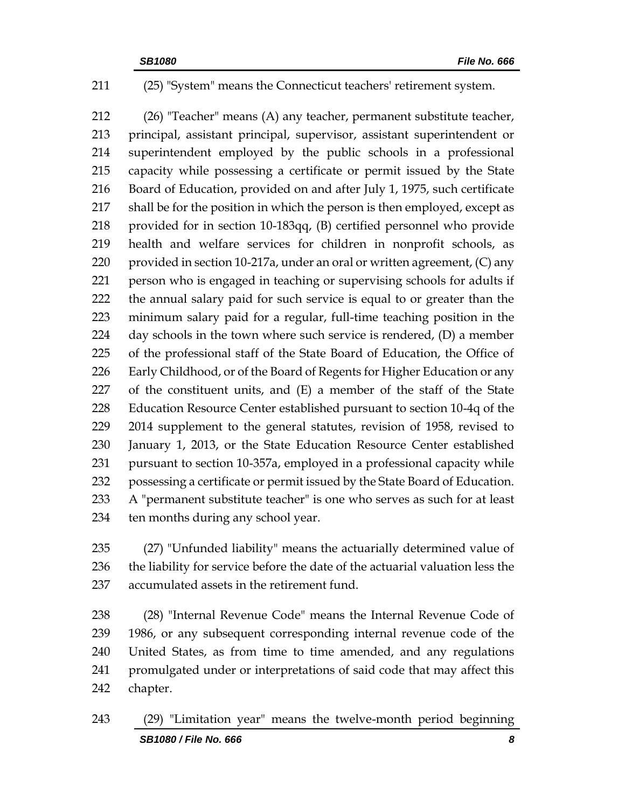(25) "System" means the Connecticut teachers' retirement system.

 (26) "Teacher" means (A) any teacher, permanent substitute teacher, principal, assistant principal, supervisor, assistant superintendent or superintendent employed by the public schools in a professional capacity while possessing a certificate or permit issued by the State Board of Education, provided on and after July 1, 1975, such certificate shall be for the position in which the person is then employed, except as provided for in section 10-183qq, (B) certified personnel who provide health and welfare services for children in nonprofit schools, as 220 provided in section 10-217a, under an oral or written agreement, (C) any person who is engaged in teaching or supervising schools for adults if the annual salary paid for such service is equal to or greater than the minimum salary paid for a regular, full-time teaching position in the day schools in the town where such service is rendered, (D) a member of the professional staff of the State Board of Education, the Office of Early Childhood, or of the Board of Regents for Higher Education or any of the constituent units, and (E) a member of the staff of the State Education Resource Center established pursuant to section 10-4q of the 2014 supplement to the general statutes, revision of 1958, revised to January 1, 2013, or the State Education Resource Center established pursuant to section 10-357a, employed in a professional capacity while possessing a certificate or permit issued by the State Board of Education. A "permanent substitute teacher" is one who serves as such for at least ten months during any school year.

 (27) "Unfunded liability" means the actuarially determined value of the liability for service before the date of the actuarial valuation less the accumulated assets in the retirement fund.

 (28) "Internal Revenue Code" means the Internal Revenue Code of 1986, or any subsequent corresponding internal revenue code of the United States, as from time to time amended, and any regulations promulgated under or interpretations of said code that may affect this chapter.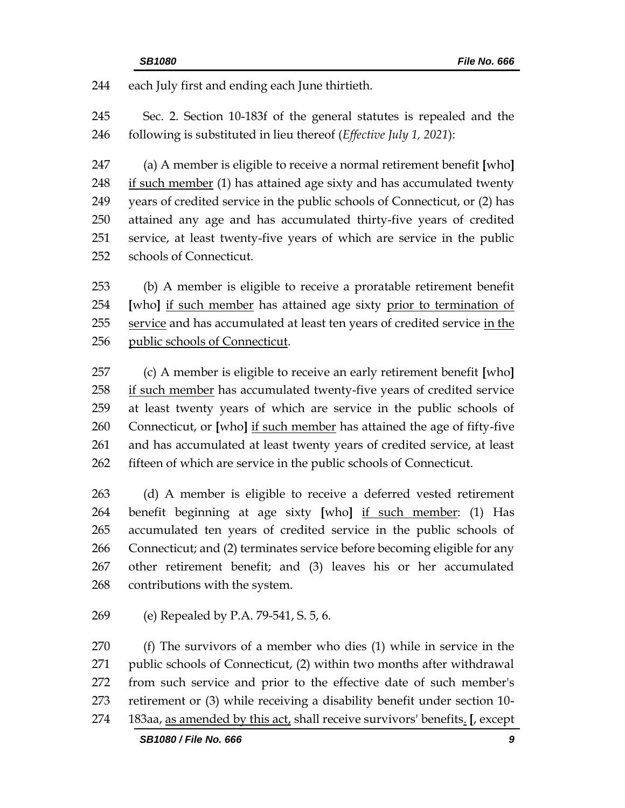each July first and ending each June thirtieth.

 Sec. 2. Section 10-183f of the general statutes is repealed and the following is substituted in lieu thereof (*Effective July 1, 2021*):

 (a) A member is eligible to receive a normal retirement benefit **[**who**]** 248 if such member (1) has attained age sixty and has accumulated twenty years of credited service in the public schools of Connecticut, or (2) has attained any age and has accumulated thirty-five years of credited service, at least twenty-five years of which are service in the public schools of Connecticut.

 (b) A member is eligible to receive a proratable retirement benefit **[**who**]** if such member has attained age sixty prior to termination of service and has accumulated at least ten years of credited service in the public schools of Connecticut.

 (c) A member is eligible to receive an early retirement benefit **[**who**]** if such member has accumulated twenty-five years of credited service at least twenty years of which are service in the public schools of Connecticut, or **[**who**]** if such member has attained the age of fifty-five and has accumulated at least twenty years of credited service, at least fifteen of which are service in the public schools of Connecticut.

 (d) A member is eligible to receive a deferred vested retirement benefit beginning at age sixty **[**who**]** if such member: (1) Has accumulated ten years of credited service in the public schools of Connecticut; and (2) terminates service before becoming eligible for any other retirement benefit; and (3) leaves his or her accumulated contributions with the system.

(e) Repealed by P.A. 79-541, S. 5, 6.

 (f) The survivors of a member who dies (1) while in service in the public schools of Connecticut, (2) within two months after withdrawal from such service and prior to the effective date of such member's retirement or (3) while receiving a disability benefit under section 10- 183aa, as amended by this act, shall receive survivors' benefits. **[**, except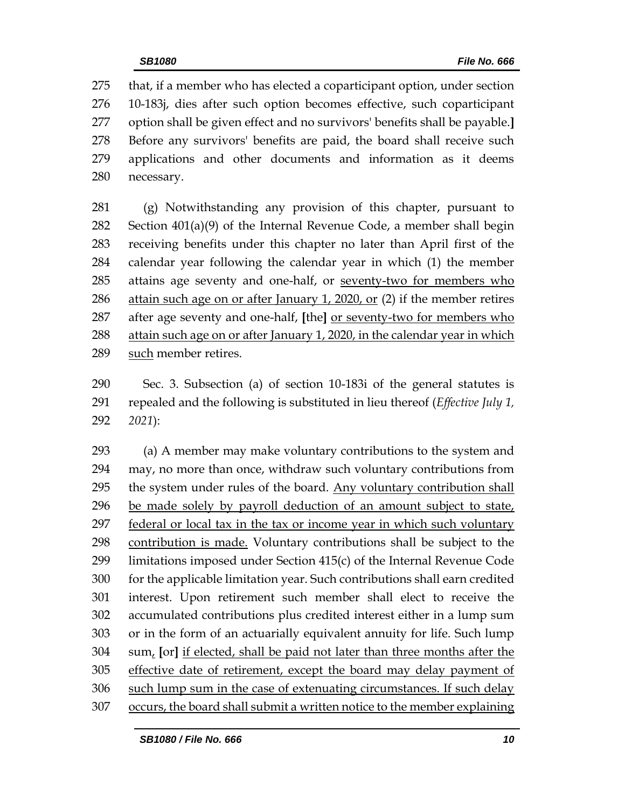that, if a member who has elected a coparticipant option, under section 10-183j, dies after such option becomes effective, such coparticipant option shall be given effect and no survivors' benefits shall be payable.**]** Before any survivors' benefits are paid, the board shall receive such applications and other documents and information as it deems necessary.

 (g) Notwithstanding any provision of this chapter, pursuant to Section 401(a)(9) of the Internal Revenue Code, a member shall begin receiving benefits under this chapter no later than April first of the calendar year following the calendar year in which (1) the member attains age seventy and one-half, or seventy-two for members who attain such age on or after January 1, 2020, or (2) if the member retires after age seventy and one-half, **[**the**]** or seventy-two for members who attain such age on or after January 1, 2020, in the calendar year in which such member retires.

 Sec. 3. Subsection (a) of section 10-183i of the general statutes is repealed and the following is substituted in lieu thereof (*Effective July 1, 2021*):

 (a) A member may make voluntary contributions to the system and may, no more than once, withdraw such voluntary contributions from 295 the system under rules of the board. Any voluntary contribution shall be made solely by payroll deduction of an amount subject to state, federal or local tax in the tax or income year in which such voluntary contribution is made. Voluntary contributions shall be subject to the limitations imposed under Section 415(c) of the Internal Revenue Code for the applicable limitation year. Such contributions shall earn credited interest. Upon retirement such member shall elect to receive the accumulated contributions plus credited interest either in a lump sum or in the form of an actuarially equivalent annuity for life. Such lump sum, **[**or**]** if elected, shall be paid not later than three months after the effective date of retirement, except the board may delay payment of such lump sum in the case of extenuating circumstances. If such delay occurs, the board shall submit a written notice to the member explaining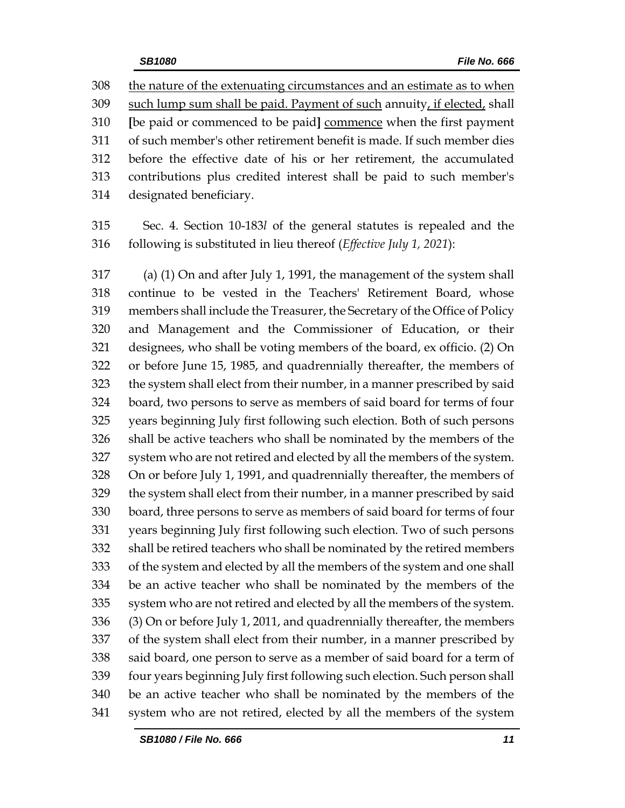the nature of the extenuating circumstances and an estimate as to when such lump sum shall be paid. Payment of such annuity, if elected, shall **[**be paid or commenced to be paid**]** commence when the first payment of such member's other retirement benefit is made. If such member dies before the effective date of his or her retirement, the accumulated contributions plus credited interest shall be paid to such member's designated beneficiary.

 Sec. 4. Section 10-183*l* of the general statutes is repealed and the following is substituted in lieu thereof (*Effective July 1, 2021*):

 (a) (1) On and after July 1, 1991, the management of the system shall continue to be vested in the Teachers' Retirement Board, whose members shall include the Treasurer, the Secretary of the Office of Policy and Management and the Commissioner of Education, or their designees, who shall be voting members of the board, ex officio. (2) On or before June 15, 1985, and quadrennially thereafter, the members of the system shall elect from their number, in a manner prescribed by said board, two persons to serve as members of said board for terms of four years beginning July first following such election. Both of such persons shall be active teachers who shall be nominated by the members of the system who are not retired and elected by all the members of the system. On or before July 1, 1991, and quadrennially thereafter, the members of the system shall elect from their number, in a manner prescribed by said board, three persons to serve as members of said board for terms of four years beginning July first following such election. Two of such persons shall be retired teachers who shall be nominated by the retired members of the system and elected by all the members of the system and one shall be an active teacher who shall be nominated by the members of the system who are not retired and elected by all the members of the system. (3) On or before July 1, 2011, and quadrennially thereafter, the members of the system shall elect from their number, in a manner prescribed by said board, one person to serve as a member of said board for a term of four years beginning July first following such election. Such person shall be an active teacher who shall be nominated by the members of the system who are not retired, elected by all the members of the system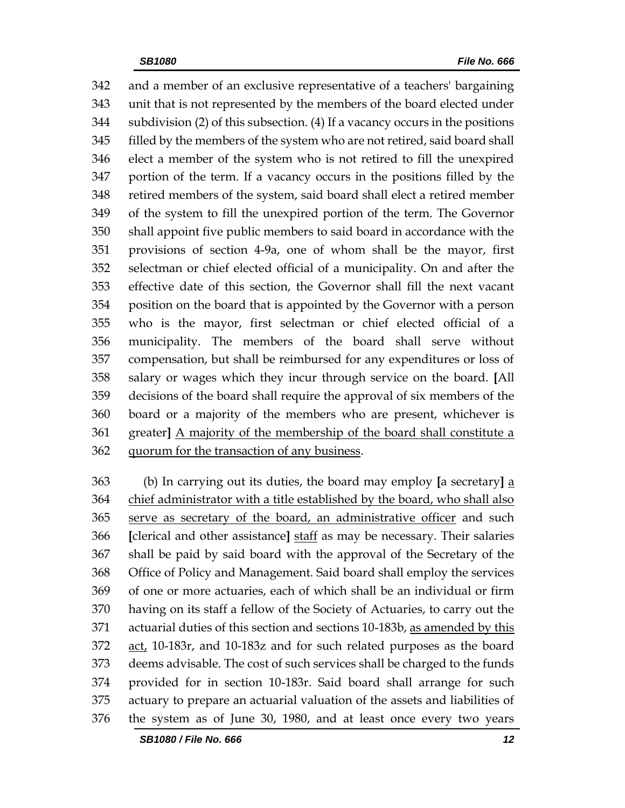and a member of an exclusive representative of a teachers' bargaining unit that is not represented by the members of the board elected under subdivision (2) of this subsection. (4) If a vacancy occurs in the positions filled by the members of the system who are not retired, said board shall elect a member of the system who is not retired to fill the unexpired portion of the term. If a vacancy occurs in the positions filled by the retired members of the system, said board shall elect a retired member of the system to fill the unexpired portion of the term. The Governor shall appoint five public members to said board in accordance with the provisions of section 4-9a, one of whom shall be the mayor, first selectman or chief elected official of a municipality. On and after the effective date of this section, the Governor shall fill the next vacant position on the board that is appointed by the Governor with a person who is the mayor, first selectman or chief elected official of a municipality. The members of the board shall serve without compensation, but shall be reimbursed for any expenditures or loss of salary or wages which they incur through service on the board. **[**All decisions of the board shall require the approval of six members of the board or a majority of the members who are present, whichever is greater**]** A majority of the membership of the board shall constitute a quorum for the transaction of any business.

 (b) In carrying out its duties, the board may employ **[**a secretary**]** a chief administrator with a title established by the board, who shall also serve as secretary of the board, an administrative officer and such **[**clerical and other assistance**]** staff as may be necessary. Their salaries shall be paid by said board with the approval of the Secretary of the Office of Policy and Management. Said board shall employ the services of one or more actuaries, each of which shall be an individual or firm having on its staff a fellow of the Society of Actuaries, to carry out the 371 actuarial duties of this section and sections 10-183b, as amended by this act, 10-183r, and 10-183z and for such related purposes as the board deems advisable. The cost of such services shall be charged to the funds provided for in section 10-183r. Said board shall arrange for such actuary to prepare an actuarial valuation of the assets and liabilities of the system as of June 30, 1980, and at least once every two years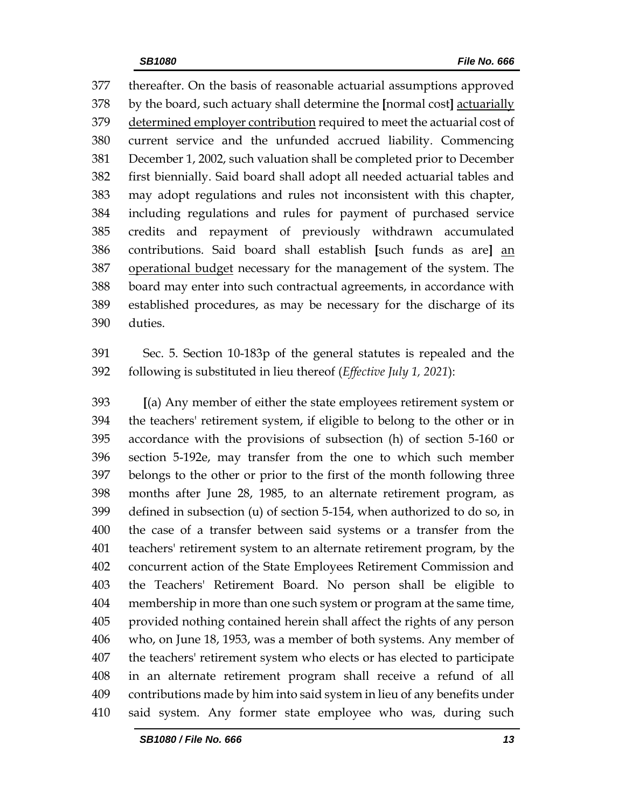thereafter. On the basis of reasonable actuarial assumptions approved by the board, such actuary shall determine the **[**normal cost**]** actuarially 379 determined employer contribution required to meet the actuarial cost of current service and the unfunded accrued liability. Commencing December 1, 2002, such valuation shall be completed prior to December first biennially. Said board shall adopt all needed actuarial tables and may adopt regulations and rules not inconsistent with this chapter, including regulations and rules for payment of purchased service credits and repayment of previously withdrawn accumulated contributions. Said board shall establish **[**such funds as are**]** an 387 operational budget necessary for the management of the system. The board may enter into such contractual agreements, in accordance with established procedures, as may be necessary for the discharge of its duties.

 Sec. 5. Section 10-183p of the general statutes is repealed and the following is substituted in lieu thereof (*Effective July 1, 2021*):

 **[**(a) Any member of either the state employees retirement system or the teachers' retirement system, if eligible to belong to the other or in accordance with the provisions of subsection (h) of section 5-160 or section 5-192e, may transfer from the one to which such member belongs to the other or prior to the first of the month following three months after June 28, 1985, to an alternate retirement program, as defined in subsection (u) of section 5-154, when authorized to do so, in the case of a transfer between said systems or a transfer from the teachers' retirement system to an alternate retirement program, by the concurrent action of the State Employees Retirement Commission and the Teachers' Retirement Board. No person shall be eligible to membership in more than one such system or program at the same time, provided nothing contained herein shall affect the rights of any person who, on June 18, 1953, was a member of both systems. Any member of the teachers' retirement system who elects or has elected to participate in an alternate retirement program shall receive a refund of all contributions made by him into said system in lieu of any benefits under said system. Any former state employee who was, during such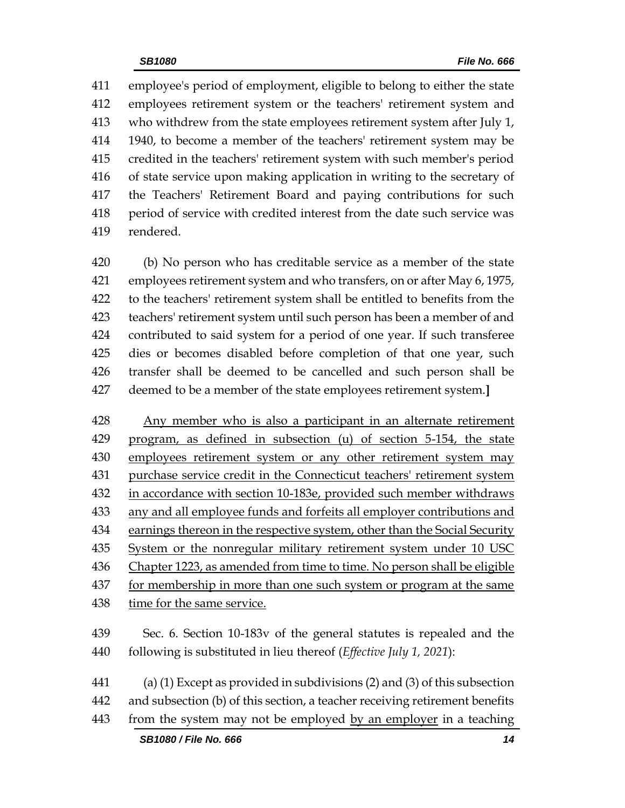employee's period of employment, eligible to belong to either the state employees retirement system or the teachers' retirement system and who withdrew from the state employees retirement system after July 1, 1940, to become a member of the teachers' retirement system may be credited in the teachers' retirement system with such member's period of state service upon making application in writing to the secretary of the Teachers' Retirement Board and paying contributions for such period of service with credited interest from the date such service was rendered.

 (b) No person who has creditable service as a member of the state employees retirement system and who transfers, on or after May 6, 1975, to the teachers' retirement system shall be entitled to benefits from the teachers' retirement system until such person has been a member of and contributed to said system for a period of one year. If such transferee dies or becomes disabled before completion of that one year, such transfer shall be deemed to be cancelled and such person shall be deemed to be a member of the state employees retirement system.**]**

 Any member who is also a participant in an alternate retirement program, as defined in subsection (u) of section 5-154, the state employees retirement system or any other retirement system may purchase service credit in the Connecticut teachers' retirement system in accordance with section 10-183e, provided such member withdraws any and all employee funds and forfeits all employer contributions and earnings thereon in the respective system, other than the Social Security System or the nonregular military retirement system under 10 USC Chapter 1223, as amended from time to time. No person shall be eligible for membership in more than one such system or program at the same 438 time for the same service.

- Sec. 6. Section 10-183v of the general statutes is repealed and the following is substituted in lieu thereof (*Effective July 1, 2021*):
- (a) (1) Except as provided in subdivisions (2) and (3) of this subsection and subsection (b) of this section, a teacher receiving retirement benefits
- from the system may not be employed by an employer in a teaching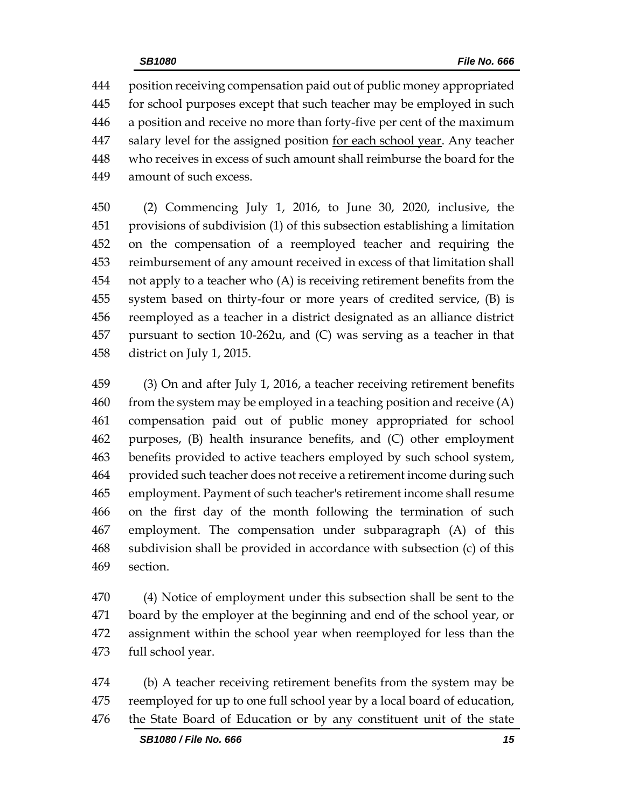position receiving compensation paid out of public money appropriated for school purposes except that such teacher may be employed in such a position and receive no more than forty-five per cent of the maximum salary level for the assigned position for each school year. Any teacher who receives in excess of such amount shall reimburse the board for the amount of such excess.

 (2) Commencing July 1, 2016, to June 30, 2020, inclusive, the provisions of subdivision (1) of this subsection establishing a limitation on the compensation of a reemployed teacher and requiring the reimbursement of any amount received in excess of that limitation shall not apply to a teacher who (A) is receiving retirement benefits from the system based on thirty-four or more years of credited service, (B) is reemployed as a teacher in a district designated as an alliance district pursuant to section 10-262u, and (C) was serving as a teacher in that district on July 1, 2015.

 (3) On and after July 1, 2016, a teacher receiving retirement benefits from the system may be employed in a teaching position and receive  $(A)$  compensation paid out of public money appropriated for school purposes, (B) health insurance benefits, and (C) other employment benefits provided to active teachers employed by such school system, provided such teacher does not receive a retirement income during such employment. Payment of such teacher's retirement income shall resume on the first day of the month following the termination of such employment. The compensation under subparagraph (A) of this subdivision shall be provided in accordance with subsection (c) of this section.

 (4) Notice of employment under this subsection shall be sent to the board by the employer at the beginning and end of the school year, or assignment within the school year when reemployed for less than the full school year.

 (b) A teacher receiving retirement benefits from the system may be reemployed for up to one full school year by a local board of education, the State Board of Education or by any constituent unit of the state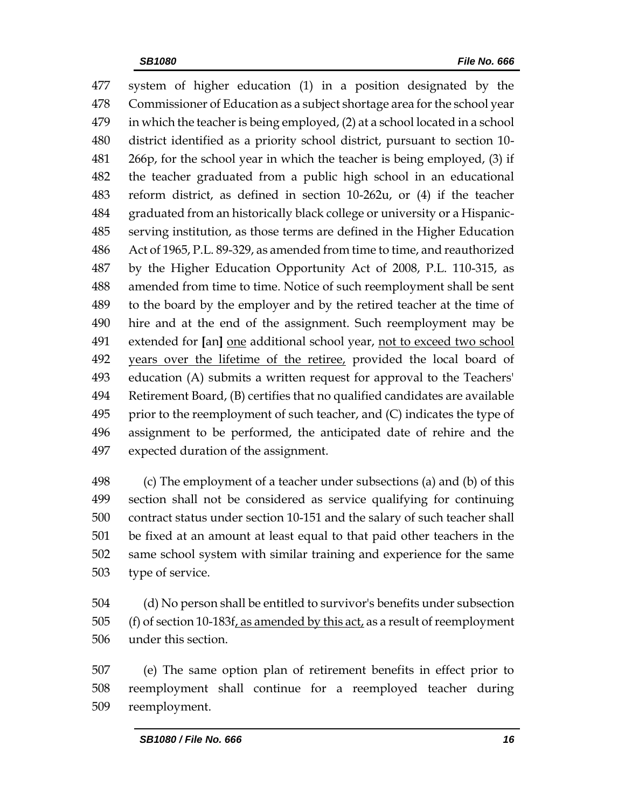system of higher education (1) in a position designated by the Commissioner of Education as a subject shortage area for the school year in which the teacher is being employed, (2) at a school located in a school district identified as a priority school district, pursuant to section 10- 266p, for the school year in which the teacher is being employed, (3) if the teacher graduated from a public high school in an educational reform district, as defined in section 10-262u, or (4) if the teacher graduated from an historically black college or university or a Hispanic- serving institution, as those terms are defined in the Higher Education Act of 1965, P.L. 89-329, as amended from time to time, and reauthorized by the Higher Education Opportunity Act of 2008, P.L. 110-315, as amended from time to time. Notice of such reemployment shall be sent to the board by the employer and by the retired teacher at the time of hire and at the end of the assignment. Such reemployment may be extended for **[**an**]** one additional school year, not to exceed two school years over the lifetime of the retiree, provided the local board of education (A) submits a written request for approval to the Teachers' Retirement Board, (B) certifies that no qualified candidates are available 495 prior to the reemployment of such teacher, and  $(C)$  indicates the type of assignment to be performed, the anticipated date of rehire and the expected duration of the assignment.

 (c) The employment of a teacher under subsections (a) and (b) of this section shall not be considered as service qualifying for continuing contract status under section 10-151 and the salary of such teacher shall be fixed at an amount at least equal to that paid other teachers in the same school system with similar training and experience for the same type of service.

 (d) No person shall be entitled to survivor's benefits under subsection 505 (f) of section 10-183f, as amended by this act, as a result of reemployment under this section.

 (e) The same option plan of retirement benefits in effect prior to reemployment shall continue for a reemployed teacher during reemployment.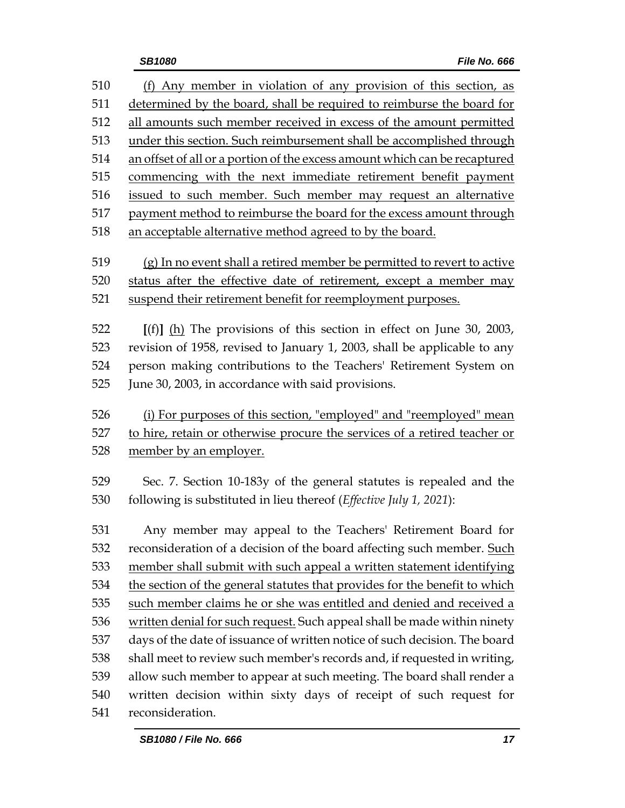(f) Any member in violation of any provision of this section, as determined by the board, shall be required to reimburse the board for all amounts such member received in excess of the amount permitted under this section. Such reimbursement shall be accomplished through an offset of all or a portion of the excess amount which can be recaptured commencing with the next immediate retirement benefit payment issued to such member. Such member may request an alternative payment method to reimburse the board for the excess amount through an acceptable alternative method agreed to by the board. (g) In no event shall a retired member be permitted to revert to active status after the effective date of retirement, except a member may suspend their retirement benefit for reemployment purposes. **[**(f)**]** (h) The provisions of this section in effect on June 30, 2003, revision of 1958, revised to January 1, 2003, shall be applicable to any person making contributions to the Teachers' Retirement System on June 30, 2003, in accordance with said provisions. (i) For purposes of this section, "employed" and "reemployed" mean to hire, retain or otherwise procure the services of a retired teacher or member by an employer. Sec. 7. Section 10-183y of the general statutes is repealed and the following is substituted in lieu thereof (*Effective July 1, 2021*): Any member may appeal to the Teachers' Retirement Board for reconsideration of a decision of the board affecting such member. Such member shall submit with such appeal a written statement identifying the section of the general statutes that provides for the benefit to which such member claims he or she was entitled and denied and received a written denial for such request. Such appeal shall be made within ninety days of the date of issuance of written notice of such decision. The board shall meet to review such member's records and, if requested in writing, allow such member to appear at such meeting. The board shall render a written decision within sixty days of receipt of such request for reconsideration.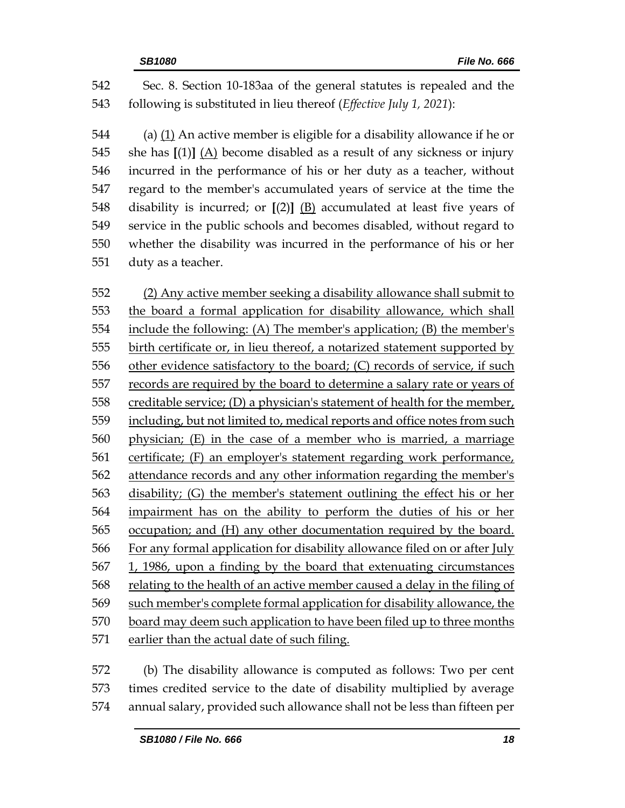Sec. 8. Section 10-183aa of the general statutes is repealed and the following is substituted in lieu thereof (*Effective July 1, 2021*):

 (a) (1) An active member is eligible for a disability allowance if he or she has **[**(1)**]** (A) become disabled as a result of any sickness or injury incurred in the performance of his or her duty as a teacher, without regard to the member's accumulated years of service at the time the disability is incurred; or **[**(2)**]** (B) accumulated at least five years of service in the public schools and becomes disabled, without regard to whether the disability was incurred in the performance of his or her duty as a teacher.

 (2) Any active member seeking a disability allowance shall submit to the board a formal application for disability allowance, which shall include the following: (A) The member's application; (B) the member's birth certificate or, in lieu thereof, a notarized statement supported by other evidence satisfactory to the board; (C) records of service, if such records are required by the board to determine a salary rate or years of creditable service; (D) a physician's statement of health for the member, including, but not limited to, medical reports and office notes from such physician; (E) in the case of a member who is married, a marriage certificate; (F) an employer's statement regarding work performance, attendance records and any other information regarding the member's disability; (G) the member's statement outlining the effect his or her impairment has on the ability to perform the duties of his or her occupation; and (H) any other documentation required by the board. For any formal application for disability allowance filed on or after July 1, 1986, upon a finding by the board that extenuating circumstances relating to the health of an active member caused a delay in the filing of 569 such member's complete formal application for disability allowance, the 570 board may deem such application to have been filed up to three months earlier than the actual date of such filing.

 (b) The disability allowance is computed as follows: Two per cent times credited service to the date of disability multiplied by average annual salary, provided such allowance shall not be less than fifteen per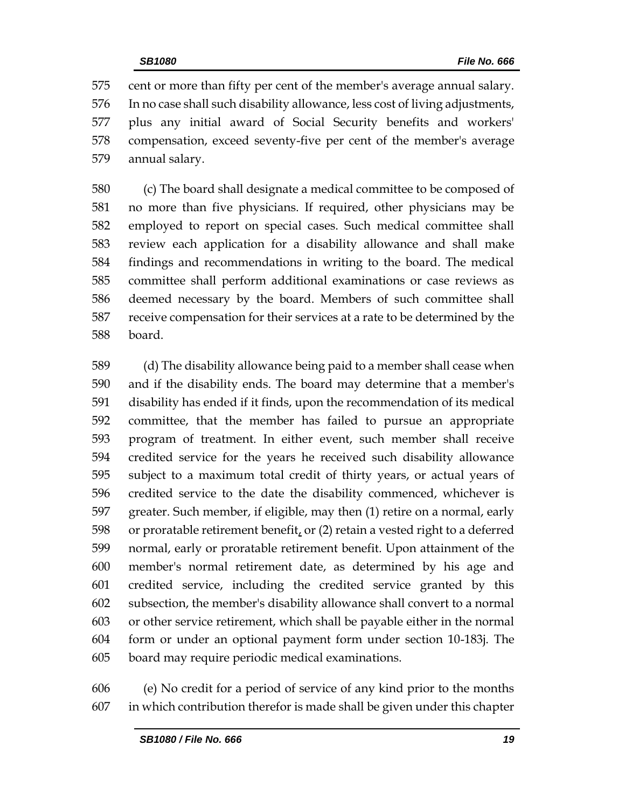cent or more than fifty per cent of the member's average annual salary. In no case shall such disability allowance, less cost of living adjustments, plus any initial award of Social Security benefits and workers' compensation, exceed seventy-five per cent of the member's average annual salary.

 (c) The board shall designate a medical committee to be composed of no more than five physicians. If required, other physicians may be employed to report on special cases. Such medical committee shall review each application for a disability allowance and shall make findings and recommendations in writing to the board. The medical committee shall perform additional examinations or case reviews as deemed necessary by the board. Members of such committee shall receive compensation for their services at a rate to be determined by the board.

 (d) The disability allowance being paid to a member shall cease when and if the disability ends. The board may determine that a member's disability has ended if it finds, upon the recommendation of its medical committee, that the member has failed to pursue an appropriate program of treatment. In either event, such member shall receive credited service for the years he received such disability allowance subject to a maximum total credit of thirty years, or actual years of credited service to the date the disability commenced, whichever is greater. Such member, if eligible, may then (1) retire on a normal, early 598 or proratable retirement benefit, or  $(2)$  retain a vested right to a deferred normal, early or proratable retirement benefit. Upon attainment of the member's normal retirement date, as determined by his age and credited service, including the credited service granted by this subsection, the member's disability allowance shall convert to a normal or other service retirement, which shall be payable either in the normal form or under an optional payment form under section 10-183j. The board may require periodic medical examinations.

 (e) No credit for a period of service of any kind prior to the months in which contribution therefor is made shall be given under this chapter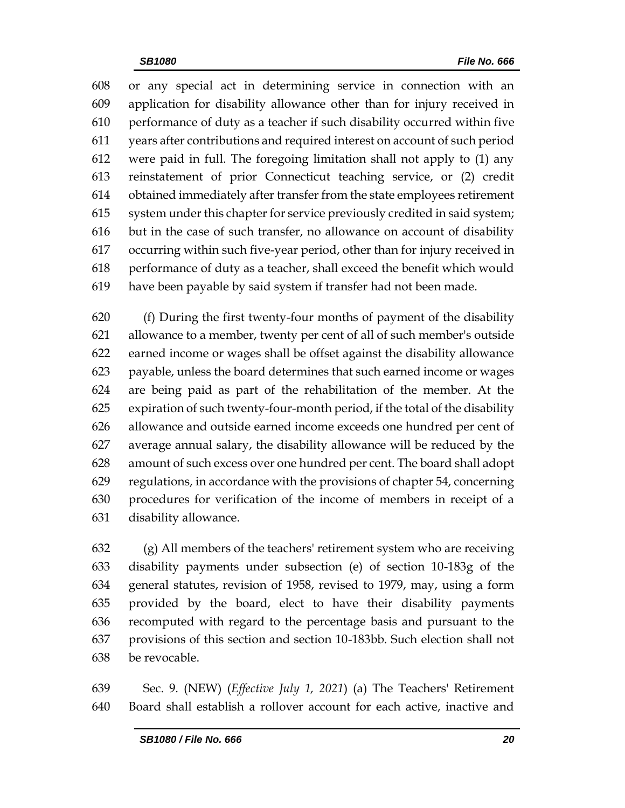or any special act in determining service in connection with an application for disability allowance other than for injury received in performance of duty as a teacher if such disability occurred within five years after contributions and required interest on account of such period were paid in full. The foregoing limitation shall not apply to (1) any reinstatement of prior Connecticut teaching service, or (2) credit obtained immediately after transfer from the state employees retirement system under this chapter for service previously credited in said system; but in the case of such transfer, no allowance on account of disability occurring within such five-year period, other than for injury received in performance of duty as a teacher, shall exceed the benefit which would have been payable by said system if transfer had not been made.

 (f) During the first twenty-four months of payment of the disability allowance to a member, twenty per cent of all of such member's outside earned income or wages shall be offset against the disability allowance payable, unless the board determines that such earned income or wages are being paid as part of the rehabilitation of the member. At the expiration of such twenty-four-month period, if the total of the disability allowance and outside earned income exceeds one hundred per cent of average annual salary, the disability allowance will be reduced by the amount of such excess over one hundred per cent. The board shall adopt regulations, in accordance with the provisions of chapter 54, concerning procedures for verification of the income of members in receipt of a disability allowance.

 (g) All members of the teachers' retirement system who are receiving disability payments under subsection (e) of section 10-183g of the general statutes, revision of 1958, revised to 1979, may, using a form provided by the board, elect to have their disability payments recomputed with regard to the percentage basis and pursuant to the provisions of this section and section 10-183bb. Such election shall not be revocable.

 Sec. 9. (NEW) (*Effective July 1, 2021*) (a) The Teachers' Retirement Board shall establish a rollover account for each active, inactive and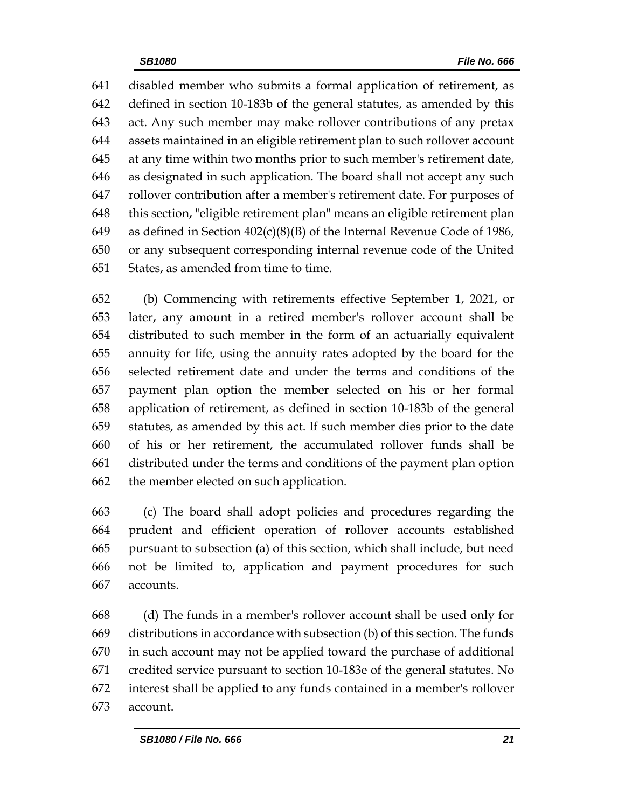disabled member who submits a formal application of retirement, as defined in section 10-183b of the general statutes, as amended by this act. Any such member may make rollover contributions of any pretax assets maintained in an eligible retirement plan to such rollover account at any time within two months prior to such member's retirement date, as designated in such application. The board shall not accept any such rollover contribution after a member's retirement date. For purposes of this section, "eligible retirement plan" means an eligible retirement plan as defined in Section 402(c)(8)(B) of the Internal Revenue Code of 1986, or any subsequent corresponding internal revenue code of the United States, as amended from time to time.

 (b) Commencing with retirements effective September 1, 2021, or later, any amount in a retired member's rollover account shall be distributed to such member in the form of an actuarially equivalent annuity for life, using the annuity rates adopted by the board for the selected retirement date and under the terms and conditions of the payment plan option the member selected on his or her formal application of retirement, as defined in section 10-183b of the general statutes, as amended by this act. If such member dies prior to the date of his or her retirement, the accumulated rollover funds shall be distributed under the terms and conditions of the payment plan option the member elected on such application.

 (c) The board shall adopt policies and procedures regarding the prudent and efficient operation of rollover accounts established pursuant to subsection (a) of this section, which shall include, but need not be limited to, application and payment procedures for such accounts.

 (d) The funds in a member's rollover account shall be used only for distributions in accordance with subsection (b) of this section. The funds in such account may not be applied toward the purchase of additional credited service pursuant to section 10-183e of the general statutes. No interest shall be applied to any funds contained in a member's rollover account.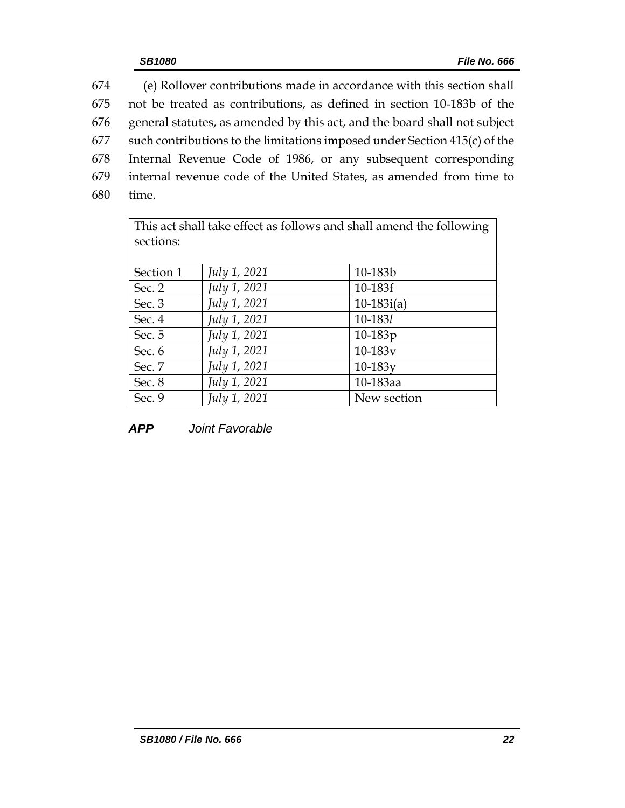(e) Rollover contributions made in accordance with this section shall not be treated as contributions, as defined in section 10-183b of the general statutes, as amended by this act, and the board shall not subject such contributions to the limitations imposed under Section 415(c) of the Internal Revenue Code of 1986, or any subsequent corresponding internal revenue code of the United States, as amended from time to 680 time.

| This act shall take effect as follows and shall amend the following |              |              |
|---------------------------------------------------------------------|--------------|--------------|
| sections:                                                           |              |              |
|                                                                     |              |              |
| Section 1                                                           | July 1, 2021 | 10-183b      |
| Sec. 2                                                              | July 1, 2021 | 10-183f      |
| Sec. 3                                                              | July 1, 2021 | $10-183i(a)$ |
| Sec. 4                                                              | July 1, 2021 | 10-1831      |
| Sec. 5                                                              | July 1, 2021 | $10-183p$    |
| Sec. 6                                                              | July 1, 2021 | $10 - 183v$  |
| Sec. 7                                                              | July 1, 2021 | $10-183y$    |
| Sec. 8                                                              | July 1, 2021 | 10-183aa     |
| Sec. 9                                                              | July 1, 2021 | New section  |

*APP Joint Favorable*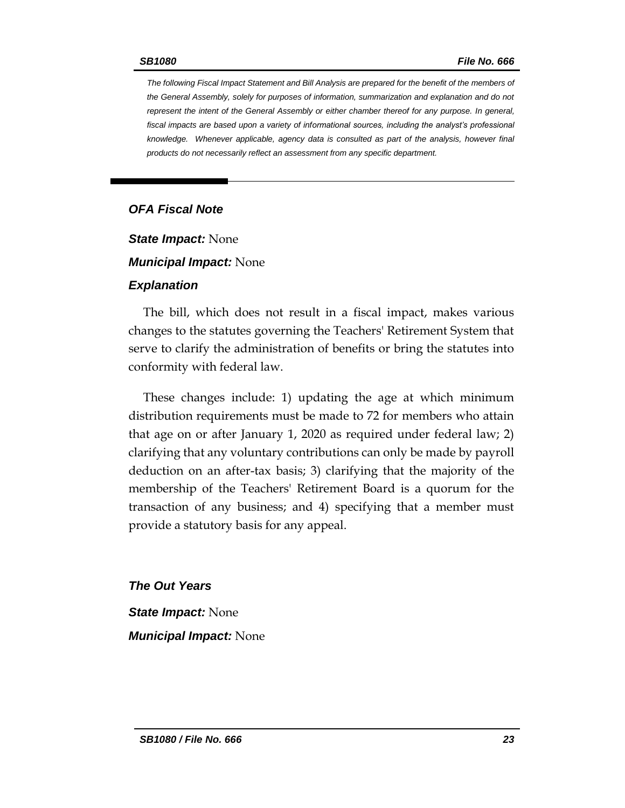*The following Fiscal Impact Statement and Bill Analysis are prepared for the benefit of the members of the General Assembly, solely for purposes of information, summarization and explanation and do not represent the intent of the General Assembly or either chamber thereof for any purpose. In general,*  fiscal impacts are based upon a variety of informational sources, including the analyst's professional *knowledge. Whenever applicable, agency data is consulted as part of the analysis, however final products do not necessarily reflect an assessment from any specific department.*

#### *OFA Fiscal Note*

*State Impact:* None

*Municipal Impact:* None

#### *Explanation*

The bill, which does not result in a fiscal impact, makes various changes to the statutes governing the Teachers' Retirement System that serve to clarify the administration of benefits or bring the statutes into conformity with federal law.

These changes include: 1) updating the age at which minimum distribution requirements must be made to 72 for members who attain that age on or after January 1, 2020 as required under federal law; 2) clarifying that any voluntary contributions can only be made by payroll deduction on an after-tax basis; 3) clarifying that the majority of the membership of the Teachers' Retirement Board is a quorum for the transaction of any business; and 4) specifying that a member must provide a statutory basis for any appeal.

*The Out Years State Impact:* None *Municipal Impact:* None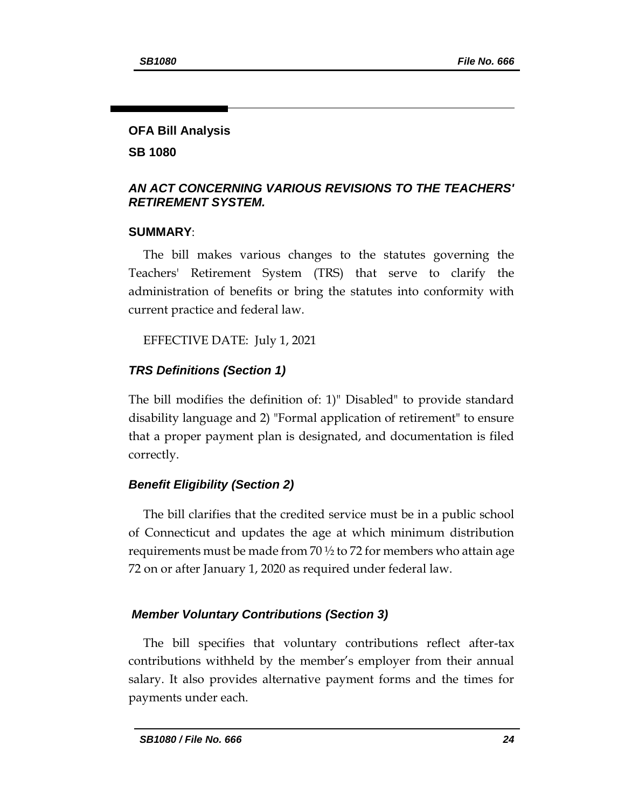#### **OFA Bill Analysis**

**SB 1080**

#### *AN ACT CONCERNING VARIOUS REVISIONS TO THE TEACHERS' RETIREMENT SYSTEM.*

#### **SUMMARY**:

The bill makes various changes to the statutes governing the Teachers' Retirement System (TRS) that serve to clarify the administration of benefits or bring the statutes into conformity with current practice and federal law.

EFFECTIVE DATE: July 1, 2021

## *TRS Definitions (Section 1)*

The bill modifies the definition of: 1)" Disabled" to provide standard disability language and 2) "Formal application of retirement" to ensure that a proper payment plan is designated, and documentation is filed correctly.

# *Benefit Eligibility (Section 2)*

The bill clarifies that the credited service must be in a public school of Connecticut and updates the age at which minimum distribution requirements must be made from 70  $\frac{1}{2}$  to 72 for members who attain age 72 on or after January 1, 2020 as required under federal law.

# *Member Voluntary Contributions (Section 3)*

The bill specifies that voluntary contributions reflect after-tax contributions withheld by the member's employer from their annual salary. It also provides alternative payment forms and the times for payments under each.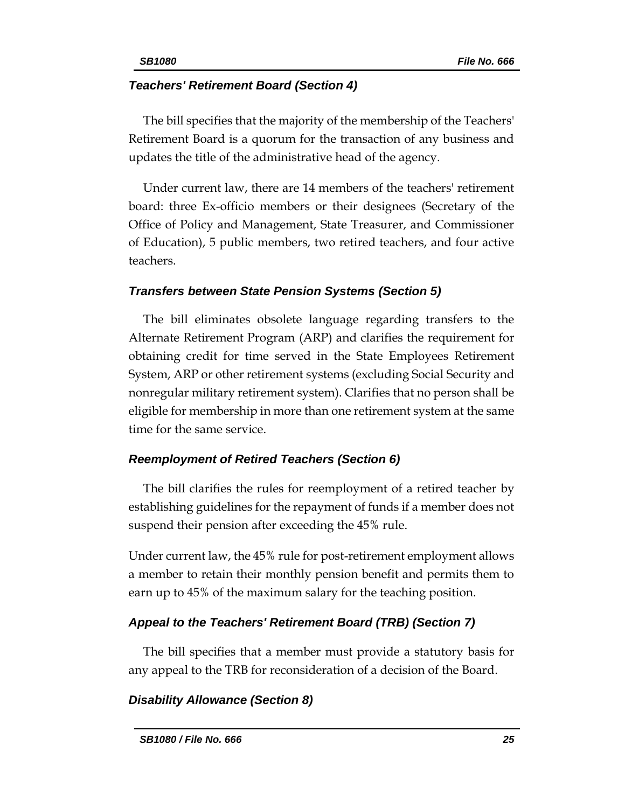#### *Teachers' Retirement Board (Section 4)*

The bill specifies that the majority of the membership of the Teachers' Retirement Board is a quorum for the transaction of any business and updates the title of the administrative head of the agency.

Under current law, there are 14 members of the teachers' retirement board: three Ex-officio members or their designees (Secretary of the Office of Policy and Management, State Treasurer, and Commissioner of Education), 5 public members, two retired teachers, and four active teachers.

## *Transfers between State Pension Systems (Section 5)*

The bill eliminates obsolete language regarding transfers to the Alternate Retirement Program (ARP) and clarifies the requirement for obtaining credit for time served in the State Employees Retirement System, ARP or other retirement systems (excluding Social Security and nonregular military retirement system). Clarifies that no person shall be eligible for membership in more than one retirement system at the same time for the same service.

# *Reemployment of Retired Teachers (Section 6)*

The bill clarifies the rules for [reemployment](file://///prdfs1/lcopsdata/2021/FC/Post%20Retirement%20Employment_GUIDE.pdf) of a retired teacher by establishing guidelines for the repayment of funds if a member does not suspend their pension after exceeding the 45% rule.

Under current law, the 45% rule for post-retirement employment allows a member to retain their monthly pension benefit and permits them to earn up to 45% of the maximum salary for the teaching position.

# *Appeal to the Teachers' Retirement Board (TRB) (Section 7)*

The bill specifies that a member must provide a statutory basis for any appeal to the TRB for reconsideration of a decision of the Board.

# *Disability Allowance (Section 8)*